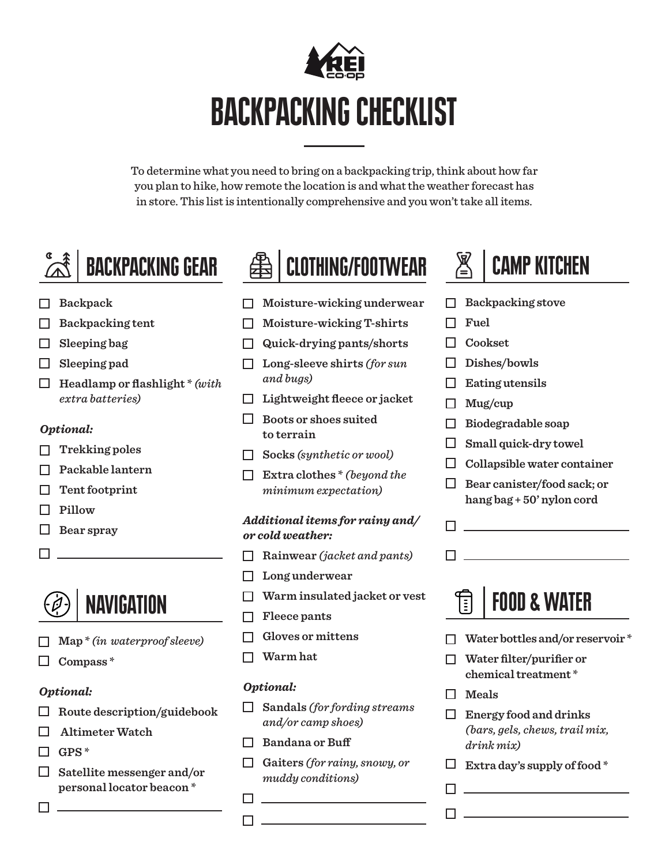

To determine what you need to bring on a backpacking trip, think about how far you plan to hike, how remote the location is and what the weather forecast has in store. This list is intentionally comprehensive and you won't take all items.

# BACKPACKING GEAR

- **Backpack**
- **Backpacking tent**
- **Sleeping bag**
- **Sleeping pad**
- **Headlamp or flashlight \*** *(with extra batteries)*

## *Optional:*

- **Trekking poles**
- **Packable lantern**
- **Tent footprint**
- **Pillow**
- **Bear spray**
- $\Box$

## **NAVIGATION**

- **Map \*** *(in waterproof sleeve)*
- **Compass \***

## *Optional:*

- **Route description/guidebook**
- **Altimeter Watch**
- **GPS \***

П

**Satellite messenger and/or personal locator beacon \***



- **Moisture-wicking underwear**
- **Moisture-wicking T-shirts**
- **Quick-drying pants/shorts**
- **Long-sleeve shirts** *(for sun and bugs)*
- **Lightweight fleece or jacket**
- **Boots or shoes suited to terrain**
- **Socks** *(synthetic or wool)*
- **Extra clothes \*** *(beyond the minimum expectation)*

### *Additional items for rainy and/ or cold weather:*

- **Rainwear** *(jacket and pants)*
- **Long underwear**
- **Warm insulated jacket or vest**
- **Fleece pants**
- **Gloves or mittens**
- **Warm hat**

## *Optional:*

- **Sandals** *(for fording streams and/or camp shoes)*
- **Bandana or Buff**
- **Gaiters** *(for rainy, snowy, or muddy conditions)*



- **Backpacking stove**
- **Fuel**
- **Cookset**
- **Dishes/bowls**
- П. **Eating utensils**
- **Mug/cup**
- **Biodegradable soap**
- **Small quick-dry towel**
- **Collapsible water container**
- **Bear canister/food sack; or hang bag + 50' nylon cord**

**The contract of the contract of the contract of the contract of the contract of the contract of the contract of the contract of the contract of the contract of the contract of the contract of the contract of the contract** 

 $\Box$  and the set of the set of the set of the set of the set of the set of the set of the set of the set of the set of the set of the set of the set of the set of the set of the set of the set of the set of the set of the

## FOOD & WATER Ē

- **Water bottles and/or reservoir \***
- **Water filter/purifier or chemical treatment \***
- **Meals**
- **Energy food and drinks**  *(bars, gels, chews, trail mix, drink mix)*
- **Extra day's supply of food \***

 $\Box$  . The contract of the contract of the contract of the contract of the contract of the contract of the contract of the contract of the contract of the contract of the contract of the contract of the contract of the co

- $\begin{tabular}{|c|c|c|c|} \hline \quad \quad & \quad \quad & \quad \quad & \quad \quad \\ \hline \quad \quad & \quad \quad & \quad \quad & \quad \quad \\ \hline \end{tabular}$
- 
- $\Box$  , and the set of the set of the set of the set of the set of the set of the set of the set of the set of the set of the set of the set of the set of the set of the set of the set of the set of the set of the set of t

 $\Box$  , and the set of  $\Box$